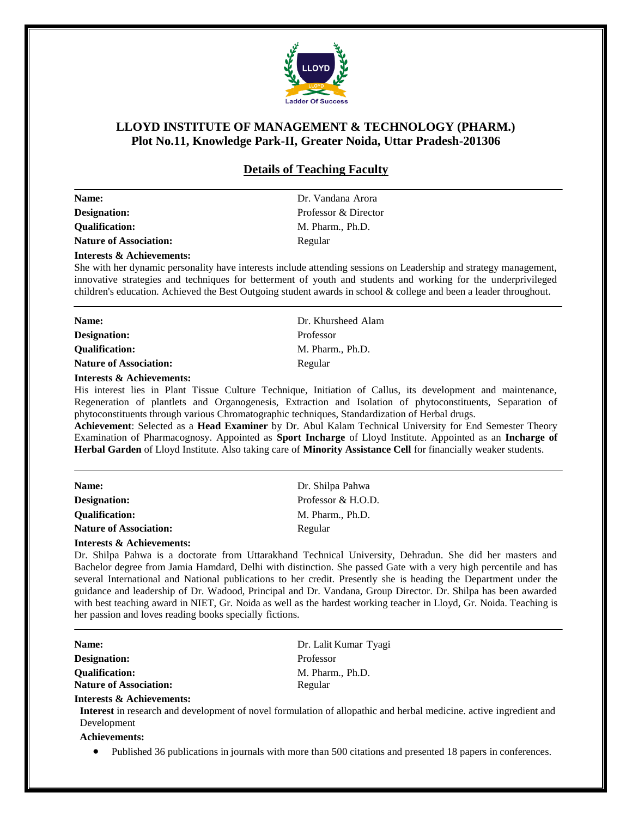

# **LLOYD INSTITUTE OF MANAGEMENT & TECHNOLOGY (PHARM.) Plot No.11, Knowledge Park-II, Greater Noida, Uttar Pradesh-201306**

# **Details of Teaching Faculty**

| Name:                         | Dr. Vandana Arora    |
|-------------------------------|----------------------|
| Designation:                  | Professor & Director |
| <b>Oualification:</b>         | M. Pharm., Ph.D.     |
| <b>Nature of Association:</b> | Regular              |
|                               |                      |

### **Interests & Achievements:**

She with her dynamic personality have interests include attending sessions on Leadership and strategy management, innovative strategies and techniques for betterment of youth and students and working for the underprivileged children's education. Achieved the Best Outgoing student awards in school & college and been a leader throughout.

| Name:                         | Dr. Khursheed Alam |
|-------------------------------|--------------------|
| <b>Designation:</b>           | Professor          |
| <b>Oualification:</b>         | M. Pharm., Ph.D.   |
| <b>Nature of Association:</b> | Regular            |
|                               |                    |

#### **Interests & Achievements:**

His interest lies in Plant Tissue Culture Technique, Initiation of Callus, its development and maintenance, Regeneration of plantlets and Organogenesis, Extraction and Isolation of phytoconstituents, Separation of phytoconstituents through various Chromatographic techniques, Standardization of Herbal drugs.

**Achievement**: Selected as a **Head Examiner** by Dr. Abul Kalam Technical University for End Semester Theory Examination of Pharmacognosy. Appointed as **Sport Incharge** of Lloyd Institute. Appointed as an **Incharge of Herbal Garden** of Lloyd Institute. Also taking care of **Minority Assistance Cell** for financially weaker students.

| Name:                         | Dr. Shilpa Pahwa   |
|-------------------------------|--------------------|
| Designation:                  | Professor & H.O.D. |
| <b>Oualification:</b>         | M. Pharm., Ph.D.   |
| <b>Nature of Association:</b> | Regular            |

#### **Interests & Achievements:**

Dr. Shilpa Pahwa is a doctorate from Uttarakhand Technical University, Dehradun. She did her masters and Bachelor degree from Jamia Hamdard, Delhi with distinction. She passed Gate with a very high percentile and has several International and National publications to her credit. Presently she is heading the Department under the guidance and leadership of Dr. Wadood, Principal and Dr. Vandana, Group Director. Dr. Shilpa has been awarded with best teaching award in NIET, Gr. Noida as well as the hardest working teacher in Lloyd, Gr. Noida. Teaching is her passion and loves reading books specially fictions.

| Name:                                | Dr. Lalit Kumar Tyagi                                                                                                     |
|--------------------------------------|---------------------------------------------------------------------------------------------------------------------------|
| Designation:                         | Professor                                                                                                                 |
| <b>Qualification:</b>                | M. Pharm., Ph.D.                                                                                                          |
| <b>Nature of Association:</b>        | Regular                                                                                                                   |
| <b>Interests &amp; Achievements:</b> |                                                                                                                           |
| Development                          | <b>Interest</b> in research and development of novel formulation of allopathic and herbal medicine, active ingredient and |
| <b>Achievements:</b>                 |                                                                                                                           |

Published 36 publications in journals with more than 500 citations and presented 18 papers in conferences.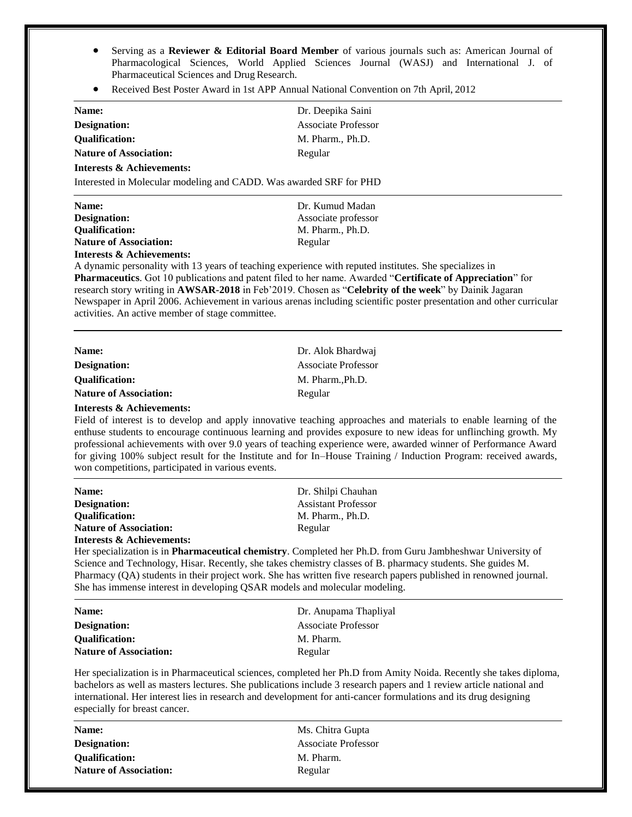- Serving as a **Reviewer & Editorial Board Member** of various journals such as: American Journal of Pharmacological Sciences, World Applied Sciences Journal (WASJ) and International J. of Pharmaceutical Sciences and Drug Research.
- Received Best Poster Award in 1st APP Annual National Convention on 7th April, 2012

| Name:                                                              | Dr. Deepika Saini          |  |  |
|--------------------------------------------------------------------|----------------------------|--|--|
| Designation:                                                       | <b>Associate Professor</b> |  |  |
| <b>Oualification:</b><br>M. Pharm., Ph.D.                          |                            |  |  |
| <b>Nature of Association:</b>                                      | Regular                    |  |  |
| <b>Interests &amp; Achievements:</b>                               |                            |  |  |
| Interested in Molecular modeling and CADD. Was awarded SRF for PHD |                            |  |  |
| Name:                                                              | Dr. Kumud Madan            |  |  |
| Designation:                                                       | Associate professor        |  |  |
| <b>Oualification:</b>                                              | M. Pharm., Ph.D.           |  |  |

**Nature of Association:** Regular **Interests & Achievements:**

A dynamic personality with 13 years of teaching experience with reputed institutes. She specializes in **Pharmaceutics**. Got 10 publications and patent filed to her name. Awarded "**Certificate of Appreciation**" for research story writing in **AWSAR-2018** in Feb'2019. Chosen as "**Celebrity of the week**" by Dainik Jagaran Newspaper in April 2006. Achievement in various arenas including scientific poster presentation and other curricular activities. An active member of stage committee.

| <b>Name:</b>                  | Dr. Alok Bhardwai          |
|-------------------------------|----------------------------|
| <b>Designation:</b>           | <b>Associate Professor</b> |
| <b>Oualification:</b>         | M. PharmPh.D.              |
| <b>Nature of Association:</b> | Regular                    |

### **Interests & Achievements:**

Field of interest is to develop and apply innovative teaching approaches and materials to enable learning of the enthuse students to encourage continuous learning and provides exposure to new ideas for unflinching growth. My professional achievements with over 9.0 years of teaching experience were, awarded winner of Performance Award for giving 100% subject result for the Institute and for In–House Training / Induction Program: received awards, won competitions, participated in various events.

| Name:                         | Dr. Shilpi Chauhan         |
|-------------------------------|----------------------------|
| <b>Designation:</b>           | <b>Assistant Professor</b> |
| <b>Oualification:</b>         | M. Pharm., Ph.D.           |
| <b>Nature of Association:</b> | Regular                    |
| Interests & Achievements:     |                            |

Her specialization is in **Pharmaceutical chemistry**. Completed her Ph.D. from Guru Jambheshwar University of Science and Technology, Hisar. Recently, she takes chemistry classes of B. pharmacy students. She guides M. Pharmacy (QA) students in their project work. She has written five research papers published in renowned journal. She has immense interest in developing QSAR models and molecular modeling.

| Name:                         | Dr. Anupama Thapliyal |
|-------------------------------|-----------------------|
| <b>Designation:</b>           | Associate Professor   |
| <b>Oualification:</b>         | M. Pharm.             |
| <b>Nature of Association:</b> | Regular               |

Her specialization is in Pharmaceutical sciences, completed her Ph.D from Amity Noida. Recently she takes diploma, bachelors as well as masters lectures. She publications include 3 research papers and 1 review article national and international. Her interest lies in research and development for anti-cancer formulations and its drug designing especially for breast cancer.

| Name:                         | Ms. Chitra Gupta    |
|-------------------------------|---------------------|
| <b>Designation:</b>           | Associate Professor |
| <b>Oualification:</b>         | M. Pharm.           |
| <b>Nature of Association:</b> | Regular             |
|                               |                     |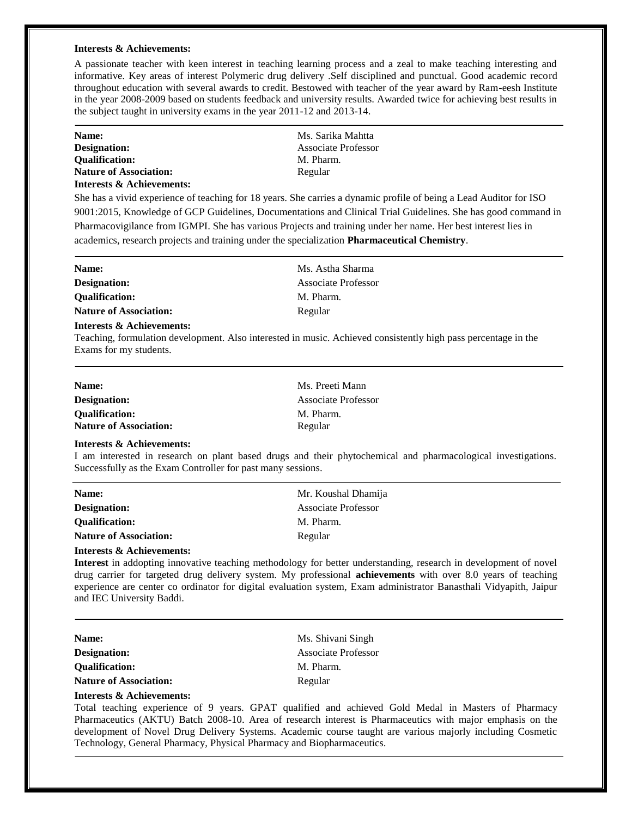### **Interests & Achievements:**

A passionate teacher with keen interest in teaching learning process and a zeal to make teaching interesting and informative. Key areas of interest Polymeric drug delivery .Self disciplined and punctual. Good academic record throughout education with several awards to credit. Bestowed with teacher of the year award by Ram-eesh Institute in the year 2008-2009 based on students feedback and university results. Awarded twice for achieving best results in the subject taught in university exams in the year 2011-12 and 2013-14.

## **Name:** Ms. Sarika Mahtta **Designation:** Associate Professor **Qualification:** M. Pharm. **Nature of Association:** Regular **Interests & Achievements:**

She has a vivid experience of teaching for 18 years. She carries a dynamic profile of being a Lead Auditor for ISO 9001:2015, Knowledge of GCP Guidelines, Documentations and Clinical Trial Guidelines. She has good command in Pharmacovigilance from IGMPI. She has various Projects and training under her name. Her best interest lies in academics, research projects and training under the specialization **Pharmaceutical Chemistry**.

| Name:                         | Ms. Astha Sharma    |
|-------------------------------|---------------------|
| Designation:                  | Associate Professor |
| <b>Oualification:</b>         | M. Pharm.           |
| <b>Nature of Association:</b> | Regular             |
| Interests & Achievements:     |                     |

Teaching, formulation development. Also interested in music. Achieved consistently high pass percentage in the Exams for my students.

| <b>Name:</b>                  | Ms. Preeti Mann     |
|-------------------------------|---------------------|
| Designation:                  | Associate Professor |
| <b>Oualification:</b>         | M. Pharm.           |
| <b>Nature of Association:</b> | Regular             |

### **Interests & Achievements:**

I am interested in research on plant based drugs and their phytochemical and pharmacological investigations. Successfully as the Exam Controller for past many sessions.

| Name:                         | Mr. Koushal Dhamija        |
|-------------------------------|----------------------------|
| <b>Designation:</b>           | <b>Associate Professor</b> |
| <b>Oualification:</b>         | M. Pharm.                  |
| <b>Nature of Association:</b> | Regular                    |

# **Interests & Achievements:**

**Interest** in addopting innovative teaching methodology for better understanding, research in development of novel drug carrier for targeted drug delivery system. My professional **achievements** with over 8.0 years of teaching experience are center co ordinator for digital evaluation system, Exam administrator [Banasthali Vidyapith, Jaipur](https://www.shiksha.com/university/banasthali-vidyapith-jaipur-3155)  [and IEC University Baddi.](https://www.shiksha.com/university/banasthali-vidyapith-jaipur-3155)

| <b>Name:</b>                  | Ms. Shivani Singh   |
|-------------------------------|---------------------|
| Designation:                  | Associate Professor |
| <b>Oualification:</b>         | M. Pharm.           |
| <b>Nature of Association:</b> | Regular             |

### **Interests & Achievements:**

Total teaching experience of 9 years. GPAT qualified and achieved Gold Medal in Masters of Pharmacy Pharmaceutics (AKTU) Batch 2008-10. Area of research interest is Pharmaceutics with major emphasis on the development of Novel Drug Delivery Systems. Academic course taught are various majorly including Cosmetic Technology, General Pharmacy, Physical Pharmacy and Biopharmaceutics.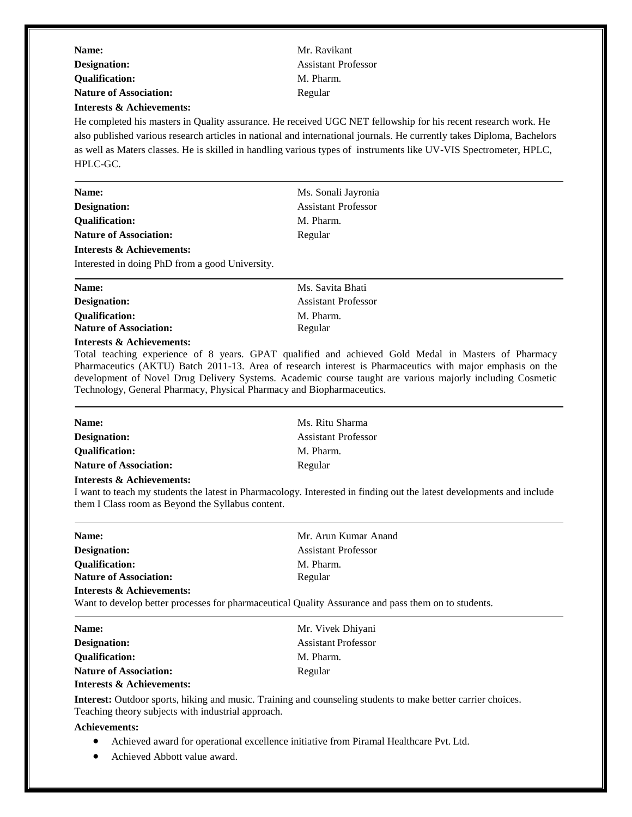| Name:                         |
|-------------------------------|
| Designation:                  |
| <b>Oualification:</b>         |
| <b>Nature of Association:</b> |
| Interests & Achievements:     |

Mr. Ravikant **Assistant Professor Qualification:** M. Pharm. **Regular** 

He completed his masters in Quality assurance. He received UGC NET fellowship for his recent research work. He also published various research articles in national and international journals. He currently takes Diploma, Bachelors as well as Maters classes. He is skilled in handling various types of instruments like UV-VIS Spectrometer, HPLC, HPLC-GC.

| Name:                                           | Ms. Sonali Jayronia        |
|-------------------------------------------------|----------------------------|
| Designation:                                    | <b>Assistant Professor</b> |
| <b>Qualification:</b>                           | M. Pharm.                  |
| <b>Nature of Association:</b>                   | Regular                    |
| <b>Interests &amp; Achievements:</b>            |                            |
| Interested in doing PhD from a good University. |                            |
| Name:                                           | Ms. Savita Bhati           |
| Designation:                                    | <b>Assistant Professor</b> |
| <b>Qualification:</b>                           | M. Pharm.                  |
| <b>Nature of Association:</b>                   | Regular                    |

### **Interests & Achievements:**

Total teaching experience of 8 years. GPAT qualified and achieved Gold Medal in Masters of Pharmacy Pharmaceutics (AKTU) Batch 2011-13. Area of research interest is Pharmaceutics with major emphasis on the development of Novel Drug Delivery Systems. Academic course taught are various majorly including Cosmetic Technology, General Pharmacy, Physical Pharmacy and Biopharmaceutics.

| Name:                         | Ms. Ritu Sharma            |
|-------------------------------|----------------------------|
| Designation:                  | <b>Assistant Professor</b> |
| <b>Oualification:</b>         | M. Pharm.                  |
| <b>Nature of Association:</b> | Regular                    |

#### **Interests & Achievements:**

I want to teach my students the latest in Pharmacology. Interested in finding out the latest developments and include them I Class room as Beyond the Syllabus content.

| Name:                                | Mr. Arun Kumar Anand                                                                                |  |
|--------------------------------------|-----------------------------------------------------------------------------------------------------|--|
| Designation:                         | <b>Assistant Professor</b>                                                                          |  |
| <b>Oualification:</b>                | M. Pharm.                                                                                           |  |
| <b>Nature of Association:</b>        | Regular                                                                                             |  |
| Interests & Achievements:            | Want to develop better processes for pharmaceutical Quality Assurance and pass them on to students. |  |
| Name:                                | Mr. Vivek Dhiyani                                                                                   |  |
| Designation:                         | <b>Assistant Professor</b>                                                                          |  |
| <b>Oualification:</b>                | M. Pharm.                                                                                           |  |
| <b>Nature of Association:</b>        | Regular                                                                                             |  |
| <b>Interests &amp; Achievements:</b> |                                                                                                     |  |

**Interest:** Outdoor sports, hiking and music. Training and counseling students to make better carrier choices. Teaching theory subjects with industrial approach.

### **Achievements:**

- Achieved award for operational excellence initiative from Piramal Healthcare Pvt. Ltd.
- Achieved Abbott value award.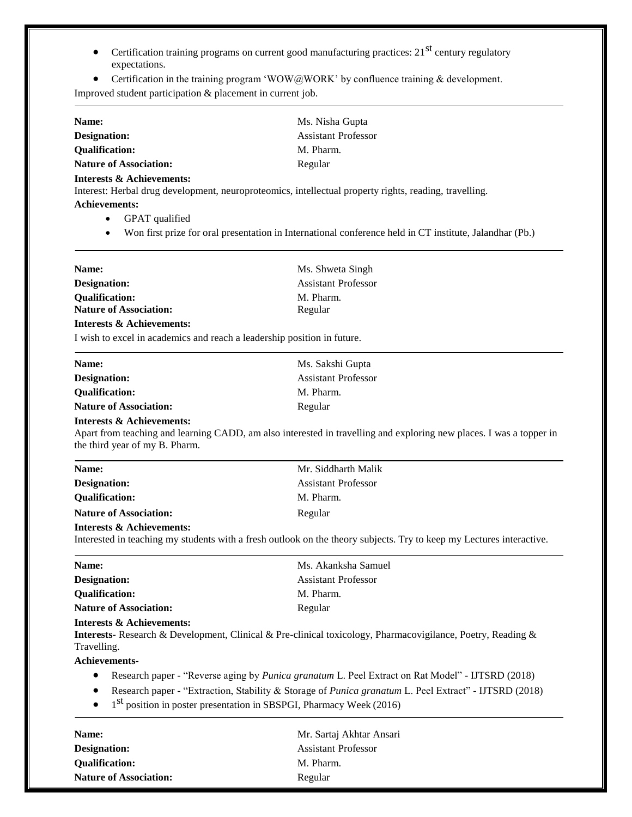- Certification training programs on current good manufacturing practices:  $21<sup>st</sup>$  century regulatory expectations.
- Certification in the training program 'WOW@WORK' by confluence training & development.

Improved student participation & placement in current job.

| Name:                                                                                                    | Ms. Nisha Gupta                                                                                                                                                                                                   |
|----------------------------------------------------------------------------------------------------------|-------------------------------------------------------------------------------------------------------------------------------------------------------------------------------------------------------------------|
| <b>Designation:</b>                                                                                      | <b>Assistant Professor</b>                                                                                                                                                                                        |
| <b>Qualification:</b>                                                                                    | M. Pharm.                                                                                                                                                                                                         |
| <b>Nature of Association:</b>                                                                            | Regular                                                                                                                                                                                                           |
| <b>Interests &amp; Achievements:</b><br><b>Achievements:</b><br>GPAT qualified<br>$\bullet$<br>$\bullet$ | Interest: Herbal drug development, neuroproteomics, intellectual property rights, reading, travelling.<br>Won first prize for oral presentation in International conference held in CT institute, Jalandhar (Pb.) |
| Name:                                                                                                    | Ms. Shweta Singh                                                                                                                                                                                                  |
| <b>Designation:</b>                                                                                      | <b>Assistant Professor</b>                                                                                                                                                                                        |
| <b>Qualification:</b>                                                                                    | M. Pharm.                                                                                                                                                                                                         |
| <b>Nature of Association:</b>                                                                            | Regular                                                                                                                                                                                                           |
| <b>Interests &amp; Achievements:</b>                                                                     |                                                                                                                                                                                                                   |
| I wish to excel in academics and reach a leadership position in future.                                  |                                                                                                                                                                                                                   |
| Name:                                                                                                    | Ms. Sakshi Gupta                                                                                                                                                                                                  |
| <b>Designation:</b>                                                                                      | <b>Assistant Professor</b>                                                                                                                                                                                        |
| <b>Qualification:</b>                                                                                    | M. Pharm.                                                                                                                                                                                                         |
| <b>Nature of Association:</b>                                                                            | Regular                                                                                                                                                                                                           |
| <b>Interests &amp; Achievements:</b><br>the third year of my B. Pharm.                                   | Apart from teaching and learning CADD, am also interested in travelling and exploring new places. I was a topper in                                                                                               |
| Name:                                                                                                    | Mr. Siddharth Malik                                                                                                                                                                                               |
| <b>Designation:</b>                                                                                      | <b>Assistant Professor</b>                                                                                                                                                                                        |
| <b>Qualification:</b>                                                                                    | M. Pharm.                                                                                                                                                                                                         |
| <b>Nature of Association:</b>                                                                            | Regular                                                                                                                                                                                                           |
| <b>Interests &amp; Achievements:</b>                                                                     | Interested in teaching my students with a fresh outlook on the theory subjects. Try to keep my Lectures interactive.                                                                                              |
| Name:                                                                                                    | Ms. Akanksha Samuel                                                                                                                                                                                               |
| <b>Designation:</b>                                                                                      | <b>Assistant Professor</b>                                                                                                                                                                                        |
| <b>Qualification:</b>                                                                                    | M. Pharm.                                                                                                                                                                                                         |
| <b>Nature of Association:</b>                                                                            | Regular                                                                                                                                                                                                           |
| <b>Interests &amp; Achievements:</b><br>Travelling.<br>Achievements-                                     | <b>Interests-</b> Research & Development, Clinical & Pre-clinical toxicology, Pharmacovigilance, Poetry, Reading &                                                                                                |
| $\bullet$                                                                                                | Research paper - "Reverse aging by Punica granatum L. Peel Extract on Rat Model" - IJTSRD (2018)                                                                                                                  |
|                                                                                                          | Research paper - "Extraction, Stability & Storage of Punica granatum L. Peel Extract" - IJTSRD (2018)<br>1 <sup>st</sup> position in poster presentation in SBSPGI, Pharmacy Week (2016)                          |
| Name:                                                                                                    | Mr. Sartaj Akhtar Ansari                                                                                                                                                                                          |

| Name:                         | Mr. Sartaj Akhtar Ansari   |
|-------------------------------|----------------------------|
| Designation:                  | <b>Assistant Professor</b> |
| <b>Oualification:</b>         | M. Pharm.                  |
| <b>Nature of Association:</b> | Regular                    |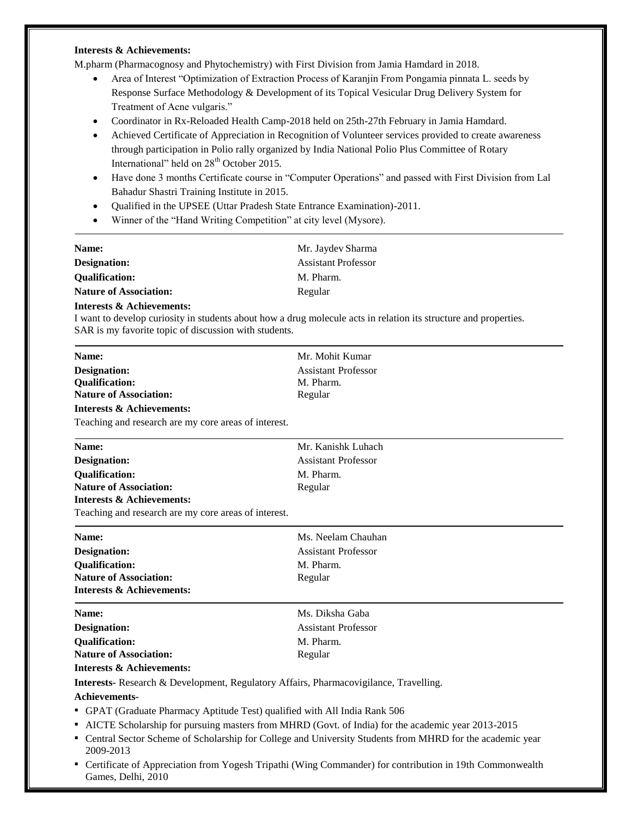# **Interests & Achievements:**

M.pharm (Pharmacognosy and Phytochemistry) with First Division from Jamia Hamdard in 2018.

- Area of Interest "Optimization of Extraction Process of Karanjin From Pongamia pinnata L. seeds by Response Surface Methodology & Development of its Topical Vesicular Drug Delivery System for Treatment of Acne vulgaris."
- Coordinator in Rx-Reloaded Health Camp-2018 held on 25th-27th February in Jamia Hamdard.
- Achieved Certificate of Appreciation in Recognition of Volunteer services provided to create awareness through participation in Polio rally organized by India National Polio Plus Committee of Rotary International" held on 28<sup>th</sup> October 2015.
- Have done 3 months Certificate course in "Computer Operations" and passed with First Division from Lal Bahadur Shastri Training Institute in 2015.
- Qualified in the UPSEE (Uttar Pradesh State Entrance Examination)-2011.
- Winner of the "Hand Writing Competition" at city level (Mysore).

| Name:                         | Mr. Jaydev Sharma   |
|-------------------------------|---------------------|
| <b>Designation:</b>           | Assistant Professor |
| <b>Oualification:</b>         | M. Pharm.           |
| <b>Nature of Association:</b> | Regular             |

## **Interests & Achievements:**

I want to develop curiosity in students about how a drug molecule acts in relation its structure and properties. SAR is my favorite topic of discussion with students.

| Name:                                                                                                                 | Mr. Mohit Kumar                                                                                   |  |
|-----------------------------------------------------------------------------------------------------------------------|---------------------------------------------------------------------------------------------------|--|
| <b>Designation:</b>                                                                                                   | <b>Assistant Professor</b>                                                                        |  |
| <b>Qualification:</b>                                                                                                 | M. Pharm.                                                                                         |  |
| <b>Nature of Association:</b>                                                                                         | Regular                                                                                           |  |
| <b>Interests &amp; Achievements:</b>                                                                                  |                                                                                                   |  |
| Teaching and research are my core areas of interest.                                                                  |                                                                                                   |  |
| Name:                                                                                                                 | Mr. Kanishk Luhach                                                                                |  |
| <b>Designation:</b>                                                                                                   | <b>Assistant Professor</b>                                                                        |  |
| <b>Qualification:</b>                                                                                                 | M. Pharm.                                                                                         |  |
| <b>Nature of Association:</b>                                                                                         | Regular                                                                                           |  |
| <b>Interests &amp; Achievements:</b>                                                                                  |                                                                                                   |  |
| Teaching and research are my core areas of interest.                                                                  |                                                                                                   |  |
| Name:                                                                                                                 | Ms. Neelam Chauhan                                                                                |  |
| <b>Designation:</b>                                                                                                   | <b>Assistant Professor</b>                                                                        |  |
| <b>Qualification:</b>                                                                                                 | M. Pharm.                                                                                         |  |
| <b>Nature of Association:</b>                                                                                         | Regular                                                                                           |  |
| <b>Interests &amp; Achievements:</b>                                                                                  |                                                                                                   |  |
| Name:                                                                                                                 | Ms. Diksha Gaba                                                                                   |  |
| <b>Designation:</b>                                                                                                   | <b>Assistant Professor</b>                                                                        |  |
| <b>Qualification:</b>                                                                                                 | M. Pharm.                                                                                         |  |
| <b>Nature of Association:</b>                                                                                         | Regular                                                                                           |  |
| <b>Interests &amp; Achievements:</b>                                                                                  |                                                                                                   |  |
| <b>Interests-</b> Research & Development, Regulatory Affairs, Pharmacovigilance, Travelling.                          |                                                                                                   |  |
| Achievements-                                                                                                         |                                                                                                   |  |
| GPAT (Graduate Pharmacy Aptitude Test) qualified with All India Rank 506                                              |                                                                                                   |  |
|                                                                                                                       | AICTE Scholarship for pursuing masters from MHRD (Govt. of India) for the academic year 2013-2015 |  |
| Central Sector Scheme of Scholarship for College and University Students from MHRD for the academic year<br>2009-2013 |                                                                                                   |  |

▪ Certificate of Appreciation from Yogesh Tripathi (Wing Commander) for contribution in 19th Commonwealth Games, Delhi, 2010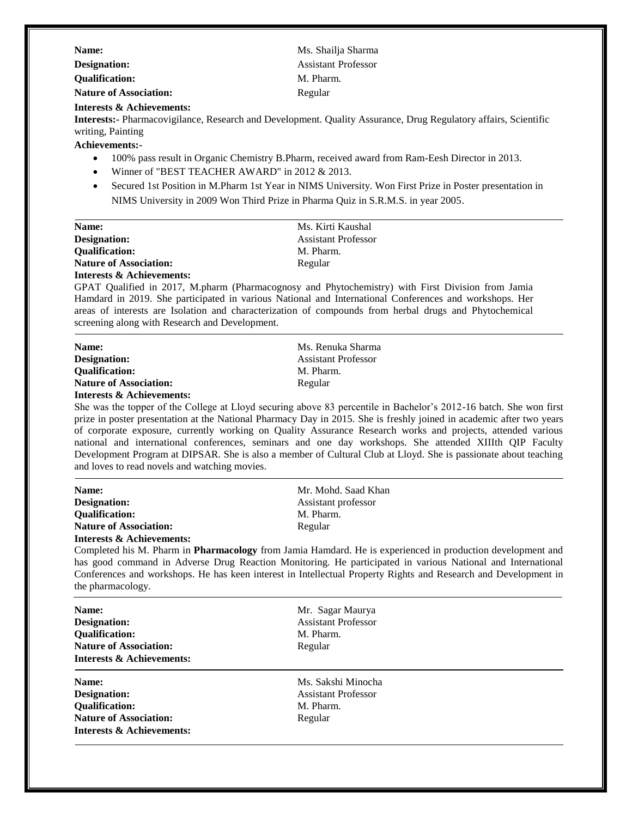| Name:                                 | Ms. Shailja Sharma         |
|---------------------------------------|----------------------------|
| Designation:                          | <b>Assistant Professor</b> |
| <b>Oualification:</b>                 | M. Pharm.                  |
| <b>Nature of Association:</b>         | Regular                    |
| $In this work of Q, A abisomorphism.$ |                            |

### **Interests & Achievements:**

**Interests:-** Pharmacovigilance, Research and Development. Quality Assurance, Drug Regulatory affairs, Scientific writing, Painting

**Achievements:-**

- 100% pass result in Organic Chemistry B.Pharm, received award from Ram-Eesh Director in 2013.
- Winner of "BEST TEACHER AWARD" in 2012 & 2013.
- Secured 1st Position in M.Pharm 1st Year in NIMS University. Won First Prize in Poster presentation in NIMS University in 2009 Won Third Prize in Pharma Quiz in S.R.M.S. in year 2005.

| Name:                                | Ms. Kirti Kaushal          |
|--------------------------------------|----------------------------|
| Designation:                         | <b>Assistant Professor</b> |
| <b>Oualification:</b>                | M. Pharm.                  |
| <b>Nature of Association:</b>        | Regular                    |
| <b>Interests &amp; Achievements:</b> |                            |

GPAT Qualified in 2017, M.pharm (Pharmacognosy and Phytochemistry) with First Division from Jamia Hamdard in 2019. She participated in various National and International Conferences and workshops. Her areas of interests are Isolation and characterization of compounds from herbal drugs and Phytochemical screening along with Research and Development.

| Name:                                | Ms. Renuka Sharma          |
|--------------------------------------|----------------------------|
| Designation:                         | <b>Assistant Professor</b> |
| <b>Oualification:</b>                | M. Pharm.                  |
| <b>Nature of Association:</b>        | Regular                    |
| <b>Interests &amp; Achievements:</b> |                            |

She was the topper of the College at Lloyd securing above 83 percentile in Bachelor's 2012-16 batch. She won first prize in poster presentation at the National Pharmacy Day in 2015. She is freshly joined in academic after two years of corporate exposure, currently working on Quality Assurance Research works and projects, attended various national and international conferences, seminars and one day workshops. She attended XIIIth QIP Faculty Development Program at DIPSAR. She is also a member of Cultural Club at Lloyd. She is passionate about teaching and loves to read novels and watching movies.

| Mr. Mohd. Saad Khan |
|---------------------|
| Assistant professor |
| M. Pharm.           |
| Regular             |
|                     |
|                     |

Completed his M. Pharm in **Pharmacology** from Jamia Hamdard. He is experienced in production development and has good command in Adverse Drug Reaction Monitoring. He participated in various National and International Conferences and workshops. He has keen interest in Intellectual Property Rights and Research and Development in the pharmacology.

| Name:                                | Mr. Sagar Maurya           |  |
|--------------------------------------|----------------------------|--|
| <b>Designation:</b>                  | <b>Assistant Professor</b> |  |
| <b>Qualification:</b>                | M. Pharm.                  |  |
| <b>Nature of Association:</b>        | Regular                    |  |
| <b>Interests &amp; Achievements:</b> |                            |  |
| Name:                                | Ms. Sakshi Minocha         |  |
| Designation:                         | <b>Assistant Professor</b> |  |
| <b>Qualification:</b>                | M. Pharm.                  |  |
| <b>Nature of Association:</b>        | Regular                    |  |
| <b>Interests &amp; Achievements:</b> |                            |  |